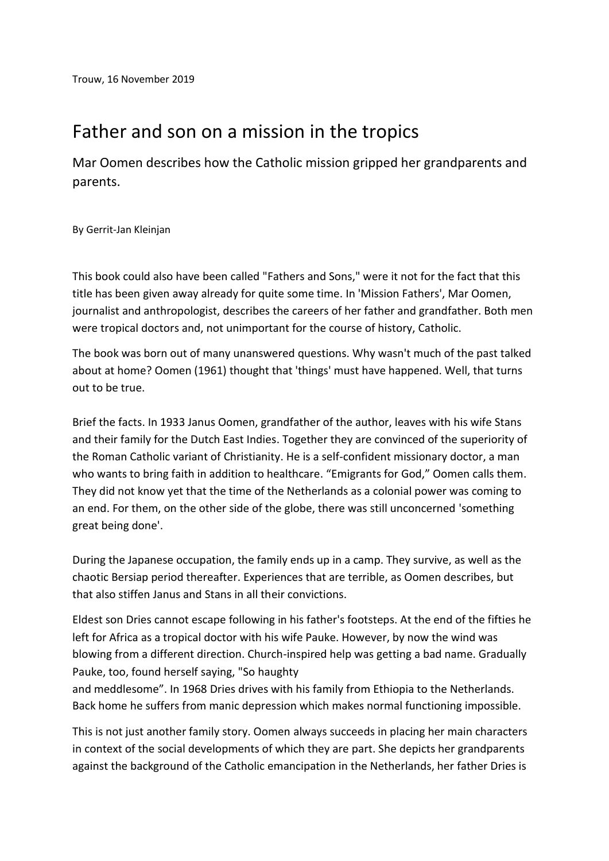## Father and son on a mission in the tropics

Mar Oomen describes how the Catholic mission gripped her grandparents and parents.

By Gerrit-Jan Kleinjan

This book could also have been called "Fathers and Sons," were it not for the fact that this title has been given away already for quite some time. In 'Mission Fathers', Mar Oomen, journalist and anthropologist, describes the careers of her father and grandfather. Both men were tropical doctors and, not unimportant for the course of history, Catholic.

The book was born out of many unanswered questions. Why wasn't much of the past talked about at home? Oomen (1961) thought that 'things' must have happened. Well, that turns out to be true.

Brief the facts. In 1933 Janus Oomen, grandfather of the author, leaves with his wife Stans and their family for the Dutch East Indies. Together they are convinced of the superiority of the Roman Catholic variant of Christianity. He is a self-confident missionary doctor, a man who wants to bring faith in addition to healthcare. "Emigrants for God," Oomen calls them. They did not know yet that the time of the Netherlands as a colonial power was coming to an end. For them, on the other side of the globe, there was still unconcerned 'something great being done'.

During the Japanese occupation, the family ends up in a camp. They survive, as well as the chaotic Bersiap period thereafter. Experiences that are terrible, as Oomen describes, but that also stiffen Janus and Stans in all their convictions.

Eldest son Dries cannot escape following in his father's footsteps. At the end of the fifties he left for Africa as a tropical doctor with his wife Pauke. However, by now the wind was blowing from a different direction. Church-inspired help was getting a bad name. Gradually Pauke, too, found herself saying, "So haughty

and meddlesome". In 1968 Dries drives with his family from Ethiopia to the Netherlands. Back home he suffers from manic depression which makes normal functioning impossible.

This is not just another family story. Oomen always succeeds in placing her main characters in context of the social developments of which they are part. She depicts her grandparents against the background of the Catholic emancipation in the Netherlands, her father Dries is